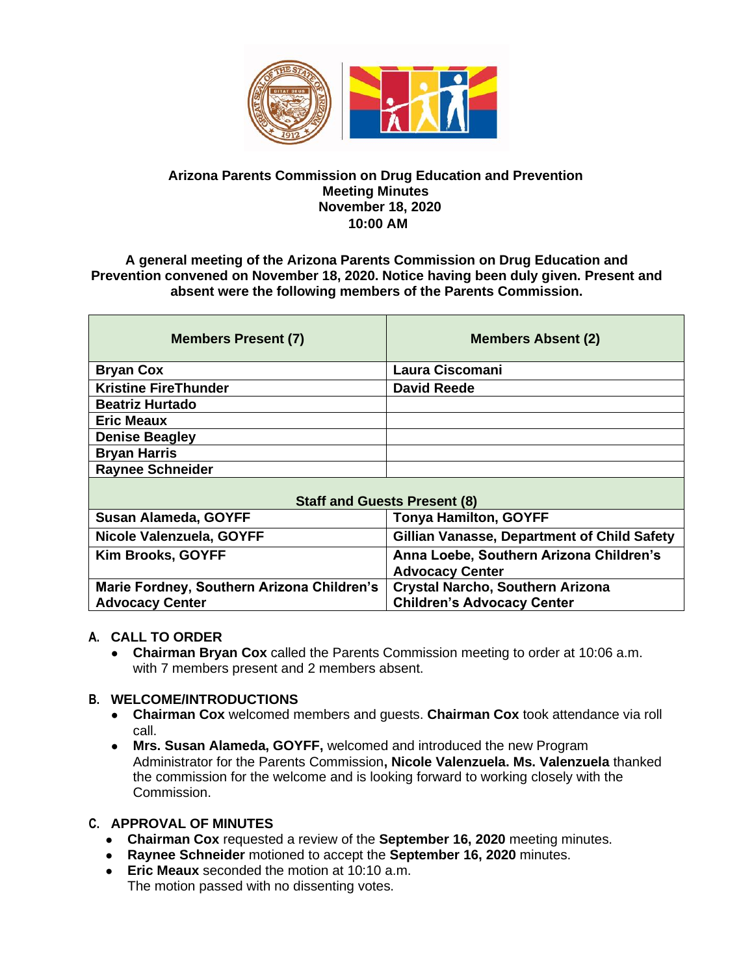

#### **Arizona Parents Commission on Drug Education and Prevention Meeting Minutes November 18, 2020 10:00 AM**

**A general meeting of the Arizona Parents Commission on Drug Education and Prevention convened on November 18, 2020. Notice having been duly given. Present and absent were the following members of the Parents Commission.** 

| <b>Members Present (7)</b>  | <b>Members Absent (2)</b> |
|-----------------------------|---------------------------|
| <b>Bryan Cox</b>            | Laura Ciscomani           |
| <b>Kristine FireThunder</b> | <b>David Reede</b>        |
| <b>Beatriz Hurtado</b>      |                           |
| <b>Eric Meaux</b>           |                           |
| <b>Denise Beagley</b>       |                           |
| <b>Bryan Harris</b>         |                           |
| <b>Raynee Schneider</b>     |                           |
|                             |                           |

| <b>Staff and Guests Present (8)</b>        |                                                    |
|--------------------------------------------|----------------------------------------------------|
| Susan Alameda, GOYFF                       | <b>Tonya Hamilton, GOYFF</b>                       |
| Nicole Valenzuela, GOYFF                   | <b>Gillian Vanasse, Department of Child Safety</b> |
| <b>Kim Brooks, GOYFF</b>                   | Anna Loebe, Southern Arizona Children's            |
|                                            | <b>Advocacy Center</b>                             |
| Marie Fordney, Southern Arizona Children's | Crystal Narcho, Southern Arizona                   |
| <b>Advocacy Center</b>                     | <b>Children's Advocacy Center</b>                  |

### **A. CALL TO ORDER**

● **Chairman Bryan Cox** called the Parents Commission meeting to order at 10:06 a.m. with 7 members present and 2 members absent.

## **B. WELCOME/INTRODUCTIONS**

- **Chairman Cox** welcomed members and guests. **Chairman Cox** took attendance via roll call.
- **Mrs. Susan Alameda, GOYFF,** welcomed and introduced the new Program Administrator for the Parents Commission**, Nicole Valenzuela. Ms. Valenzuela** thanked the commission for the welcome and is looking forward to working closely with the Commission.

# **C. APPROVAL OF MINUTES**

- **Chairman Cox** requested a review of the **September 16, 2020** meeting minutes.
- **Raynee Schneider** motioned to accept the **September 16, 2020** minutes.
- **Eric Meaux** seconded the motion at 10:10 a.m. The motion passed with no dissenting votes.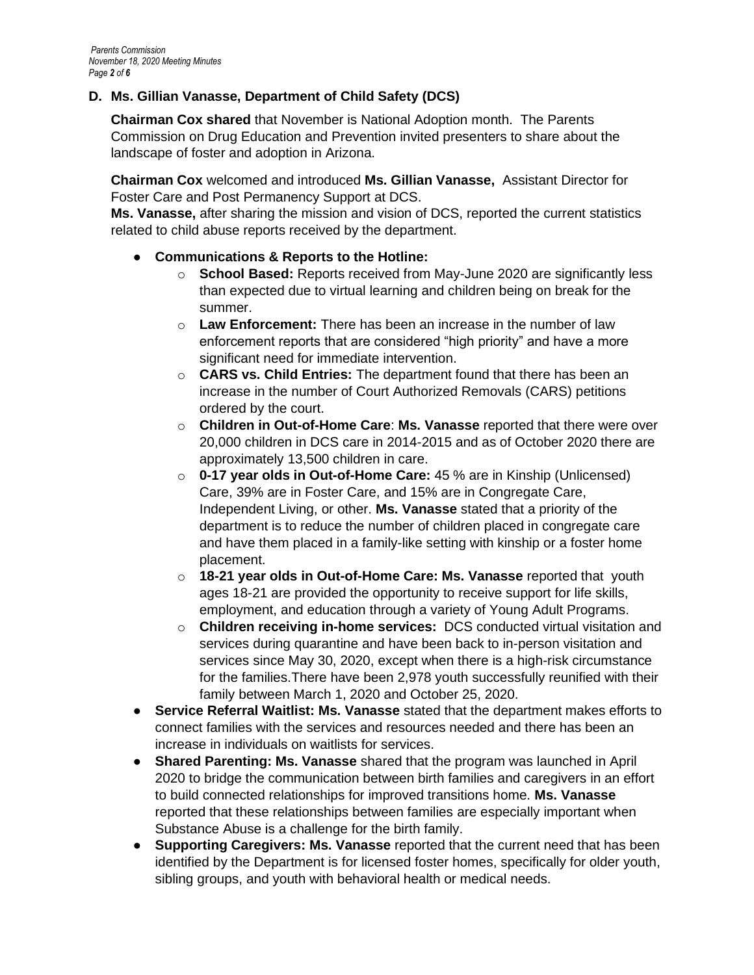# **D. Ms. Gillian Vanasse, Department of Child Safety (DCS)**

**Chairman Cox shared** that November is National Adoption month. The Parents Commission on Drug Education and Prevention invited presenters to share about the landscape of foster and adoption in Arizona.

**Chairman Cox** welcomed and introduced **Ms. Gillian Vanasse,** Assistant Director for Foster Care and Post Permanency Support at DCS.

**Ms. Vanasse,** after sharing the mission and vision of DCS, reported the current statistics related to child abuse reports received by the department.

## ● **Communications & Reports to the Hotline:**

- o **School Based:** Reports received from May-June 2020 are significantly less than expected due to virtual learning and children being on break for the summer.
- o **Law Enforcement:** There has been an increase in the number of law enforcement reports that are considered "high priority" and have a more significant need for immediate intervention.
- o **CARS vs. Child Entries:** The department found that there has been an increase in the number of Court Authorized Removals (CARS) petitions ordered by the court.
- o **Children in Out-of-Home Care**: **Ms. Vanasse** reported that there were over 20,000 children in DCS care in 2014-2015 and as of October 2020 there are approximately 13,500 children in care.
- o **0-17 year olds in Out-of-Home Care:** 45 % are in Kinship (Unlicensed) Care, 39% are in Foster Care, and 15% are in Congregate Care, Independent Living, or other. **Ms. Vanasse** stated that a priority of the department is to reduce the number of children placed in congregate care and have them placed in a family-like setting with kinship or a foster home placement.
- o **18-21 year olds in Out-of-Home Care: Ms. Vanasse** reported that youth ages 18-21 are provided the opportunity to receive support for life skills, employment, and education through a variety of Young Adult Programs.
- o **Children receiving in-home services:** DCS conducted virtual visitation and services during quarantine and have been back to in-person visitation and services since May 30, 2020, except when there is a high-risk circumstance for the families.There have been 2,978 youth successfully reunified with their family between March 1, 2020 and October 25, 2020.
- **Service Referral Waitlist: Ms. Vanasse** stated that the department makes efforts to connect families with the services and resources needed and there has been an increase in individuals on waitlists for services.
- **Shared Parenting: Ms. Vanasse** shared that the program was launched in April 2020 to bridge the communication between birth families and caregivers in an effort to build connected relationships for improved transitions home. **Ms. Vanasse** reported that these relationships between families are especially important when Substance Abuse is a challenge for the birth family.
- **Supporting Caregivers: Ms. Vanasse** reported that the current need that has been identified by the Department is for licensed foster homes, specifically for older youth, sibling groups, and youth with behavioral health or medical needs.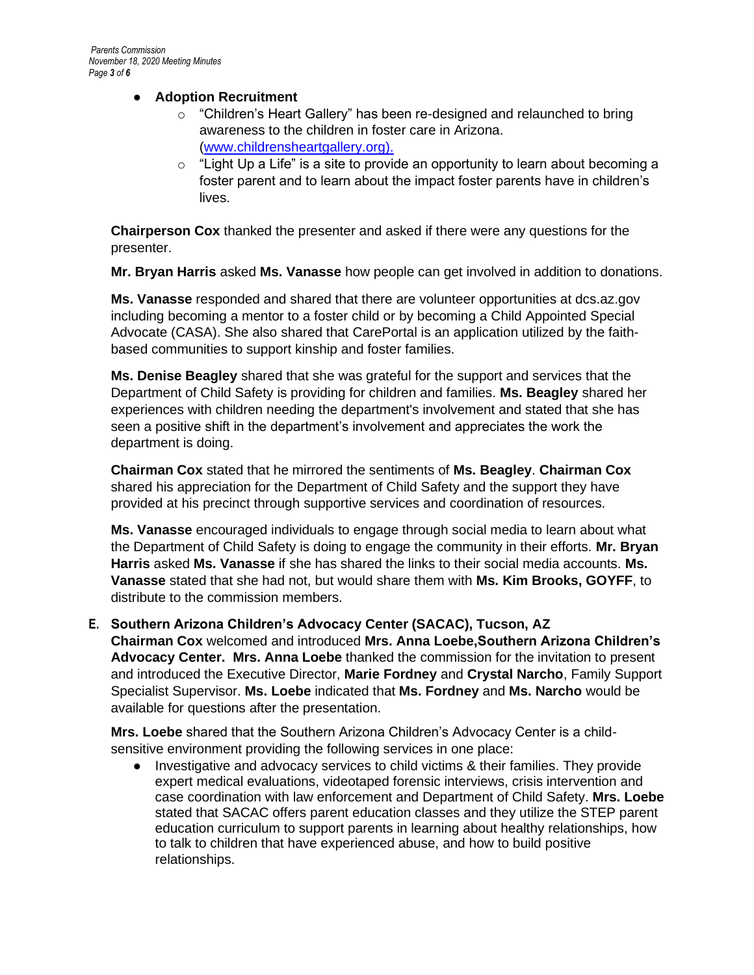## ● **Adoption Recruitment**

- o "Children's Heart Gallery" has been re-designed and relaunched to bring awareness to the children in foster care in Arizona. [\(www.childrensheartgallery.org\)](http://www.childrensheartgallery.org/).
- $\circ$  "Light Up a Life" is a site to provide an opportunity to learn about becoming a foster parent and to learn about the impact foster parents have in children's lives.

**Chairperson Cox** thanked the presenter and asked if there were any questions for the presenter.

**Mr. Bryan Harris** asked **Ms. Vanasse** how people can get involved in addition to donations.

**Ms. Vanasse** responded and shared that there are volunteer opportunities at dcs.az.gov including becoming a mentor to a foster child or by becoming a Child Appointed Special Advocate (CASA). She also shared that CarePortal is an application utilized by the faithbased communities to support kinship and foster families.

**Ms. Denise Beagley** shared that she was grateful for the support and services that the Department of Child Safety is providing for children and families. **Ms. Beagley** shared her experiences with children needing the department's involvement and stated that she has seen a positive shift in the department's involvement and appreciates the work the department is doing.

**Chairman Cox** stated that he mirrored the sentiments of **Ms. Beagley**. **Chairman Cox** shared his appreciation for the Department of Child Safety and the support they have provided at his precinct through supportive services and coordination of resources.

**Ms. Vanasse** encouraged individuals to engage through social media to learn about what the Department of Child Safety is doing to engage the community in their efforts. **Mr. Bryan Harris** asked **Ms. Vanasse** if she has shared the links to their social media accounts. **Ms. Vanasse** stated that she had not, but would share them with **Ms. Kim Brooks, GOYFF**, to distribute to the commission members.

**E. Southern Arizona Children's Advocacy Center (SACAC), Tucson, AZ Chairman Cox** welcomed and introduced **Mrs. Anna Loebe,Southern Arizona Children's Advocacy Center. Mrs. Anna Loebe** thanked the commission for the invitation to present and introduced the Executive Director, **Marie Fordney** and **Crystal Narcho**, Family Support Specialist Supervisor. **Ms. Loebe** indicated that **Ms. Fordney** and **Ms. Narcho** would be available for questions after the presentation.

**Mrs. Loebe** shared that the Southern Arizona Children's Advocacy Center is a childsensitive environment providing the following services in one place:

Investigative and advocacy services to child victims & their families. They provide expert medical evaluations, videotaped forensic interviews, crisis intervention and case coordination with law enforcement and Department of Child Safety. **Mrs. Loebe** stated that SACAC offers parent education classes and they utilize the STEP parent education curriculum to support parents in learning about healthy relationships, how to talk to children that have experienced abuse, and how to build positive relationships.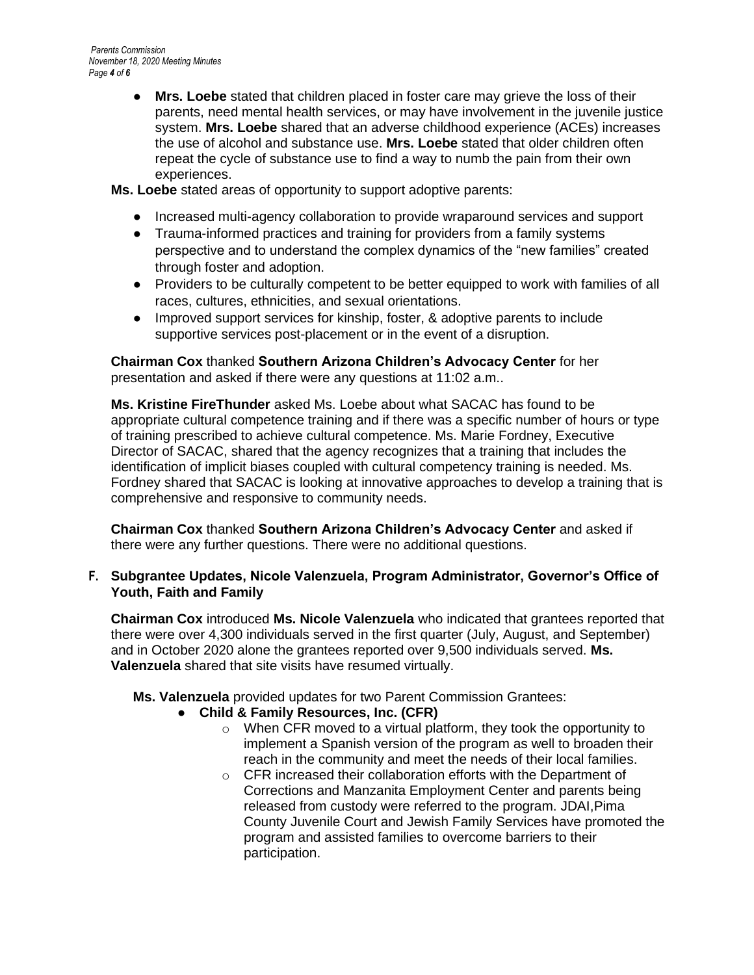● **Mrs. Loebe** stated that children placed in foster care may grieve the loss of their parents, need mental health services, or may have involvement in the juvenile justice system. **Mrs. Loebe** shared that an adverse childhood experience (ACEs) increases the use of alcohol and substance use. **Mrs. Loebe** stated that older children often repeat the cycle of substance use to find a way to numb the pain from their own experiences.

**Ms. Loebe** stated areas of opportunity to support adoptive parents:

- Increased multi-agency collaboration to provide wraparound services and support
- Trauma-informed practices and training for providers from a family systems perspective and to understand the complex dynamics of the "new families" created through foster and adoption.
- Providers to be culturally competent to be better equipped to work with families of all races, cultures, ethnicities, and sexual orientations.
- Improved support services for kinship, foster, & adoptive parents to include supportive services post-placement or in the event of a disruption.

**Chairman Cox** thanked **Southern Arizona Children's Advocacy Center** for her presentation and asked if there were any questions at 11:02 a.m..

**Ms. Kristine FireThunder** asked Ms. Loebe about what SACAC has found to be appropriate cultural competence training and if there was a specific number of hours or type of training prescribed to achieve cultural competence. Ms. Marie Fordney, Executive Director of SACAC, shared that the agency recognizes that a training that includes the identification of implicit biases coupled with cultural competency training is needed. Ms. Fordney shared that SACAC is looking at innovative approaches to develop a training that is comprehensive and responsive to community needs.

**Chairman Cox** thanked **Southern Arizona Children's Advocacy Center** and asked if there were any further questions. There were no additional questions.

## **F. Subgrantee Updates, Nicole Valenzuela, Program Administrator, Governor's Office of Youth, Faith and Family**

**Chairman Cox** introduced **Ms. Nicole Valenzuela** who indicated that grantees reported that there were over 4,300 individuals served in the first quarter (July, August, and September) and in October 2020 alone the grantees reported over 9,500 individuals served. **Ms. Valenzuela** shared that site visits have resumed virtually.

**Ms. Valenzuela** provided updates for two Parent Commission Grantees:

- **Child & Family Resources, Inc. (CFR)**
	- o When CFR moved to a virtual platform, they took the opportunity to implement a Spanish version of the program as well to broaden their reach in the community and meet the needs of their local families.
	- o CFR increased their collaboration efforts with the Department of Corrections and Manzanita Employment Center and parents being released from custody were referred to the program. JDAI,Pima County Juvenile Court and Jewish Family Services have promoted the program and assisted families to overcome barriers to their participation.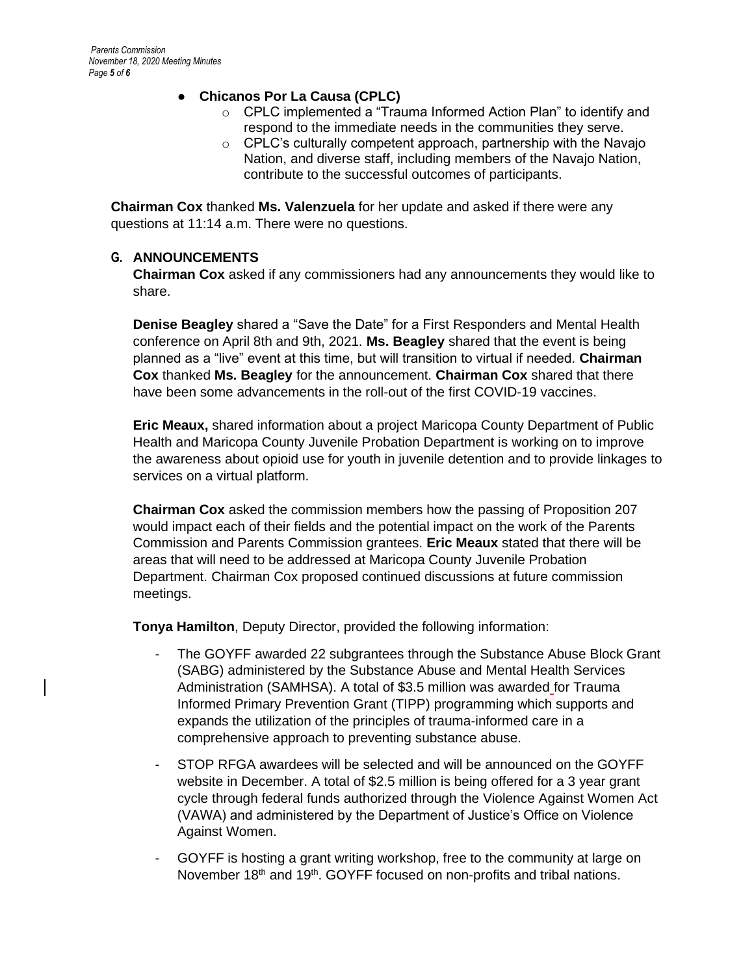## ● **Chicanos Por La Causa (CPLC)**

- o CPLC implemented a "Trauma Informed Action Plan" to identify and respond to the immediate needs in the communities they serve.
- o CPLC's culturally competent approach, partnership with the Navajo Nation, and diverse staff, including members of the Navajo Nation, contribute to the successful outcomes of participants.

**Chairman Cox** thanked **Ms. Valenzuela** for her update and asked if there were any questions at 11:14 a.m. There were no questions.

## **G. ANNOUNCEMENTS**

**Chairman Cox** asked if any commissioners had any announcements they would like to share.

**Denise Beagley** shared a "Save the Date" for a First Responders and Mental Health conference on April 8th and 9th, 2021. **Ms. Beagley** shared that the event is being planned as a "live" event at this time, but will transition to virtual if needed. **Chairman Cox** thanked **Ms. Beagley** for the announcement. **Chairman Cox** shared that there have been some advancements in the roll-out of the first COVID-19 vaccines.

**Eric Meaux,** shared information about a project Maricopa County Department of Public Health and Maricopa County Juvenile Probation Department is working on to improve the awareness about opioid use for youth in juvenile detention and to provide linkages to services on a virtual platform.

**Chairman Cox** asked the commission members how the passing of Proposition 207 would impact each of their fields and the potential impact on the work of the Parents Commission and Parents Commission grantees. **Eric Meaux** stated that there will be areas that will need to be addressed at Maricopa County Juvenile Probation Department. Chairman Cox proposed continued discussions at future commission meetings.

**Tonya Hamilton**, Deputy Director, provided the following information:

- The GOYFF awarded 22 subgrantees through the Substance Abuse Block Grant (SABG) administered by the Substance Abuse and Mental Health Services Administration (SAMHSA). A total of \$3.5 million was awarded for Trauma Informed Primary Prevention Grant (TIPP) programming which supports and expands the utilization of the principles of trauma-informed care in a comprehensive approach to preventing substance abuse.
- STOP RFGA awardees will be selected and will be announced on the GOYFF website in December. A total of \$2.5 million is being offered for a 3 year grant cycle through federal funds authorized through the Violence Against Women Act (VAWA) and administered by the Department of Justice's Office on Violence Against Women.
- GOYFF is hosting a grant writing workshop, free to the community at large on November  $18<sup>th</sup>$  and  $19<sup>th</sup>$ . GOYFF focused on non-profits and tribal nations.